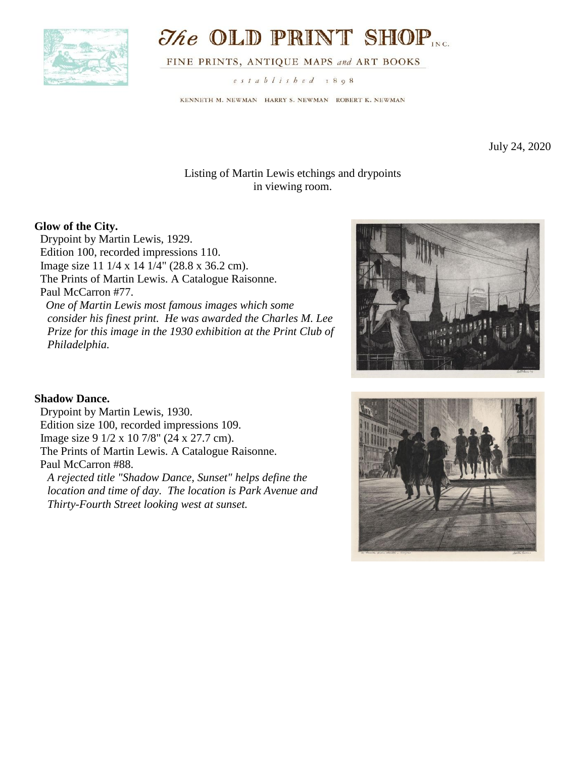

# **The OLD PRINT SHOP**

FINE PRINTS, ANTIQUE MAPS and ART BOOKS

established 1898

KENNETH M. NEWMAN HARRY S. NEWMAN ROBERT K. NEWMAN

July 24, 2020

## Listing of Martin Lewis etchings and drypoints in viewing room.

## **Glow of the City.**

 Drypoint by Martin Lewis, 1929. Edition 100, recorded impressions 110. Image size 11 1/4 x 14 1/4" (28.8 x 36.2 cm). The Prints of Martin Lewis. A Catalogue Raisonne. Paul McCarron #77. *One of Martin Lewis most famous images which some consider his finest print. He was awarded the Charles M. Lee Prize for this image in the 1930 exhibition at the Print Club of Philadelphia.*



#### **Shadow Dance.**

 Drypoint by Martin Lewis, 1930. Edition size 100, recorded impressions 109. Image size 9 1/2 x 10 7/8" (24 x 27.7 cm). The Prints of Martin Lewis. A Catalogue Raisonne. Paul McCarron #88.

*A rejected title "Shadow Dance, Sunset" helps define the location and time of day. The location is Park Avenue and Thirty-Fourth Street looking west at sunset.* 

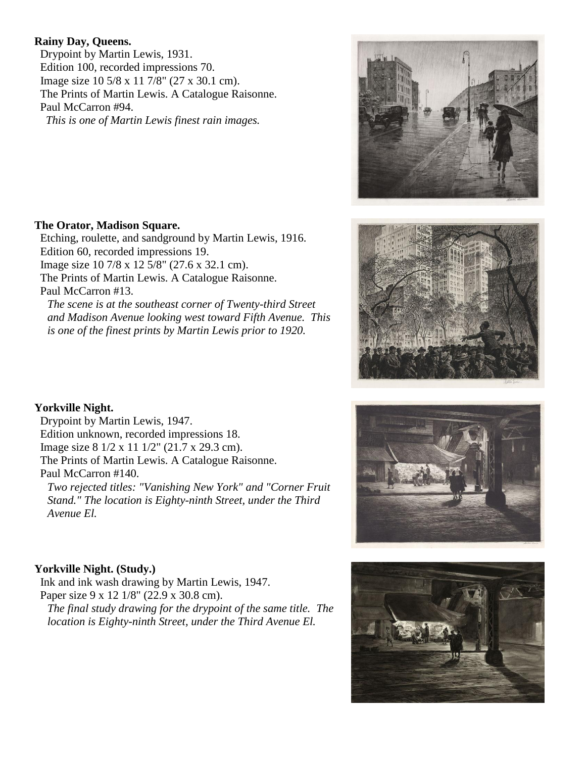#### **Rainy Day, Queens.**

 Drypoint by Martin Lewis, 1931. Edition 100, recorded impressions 70. Image size 10 5/8 x 11 7/8" (27 x 30.1 cm). The Prints of Martin Lewis. A Catalogue Raisonne. Paul McCarron #94. *This is one of Martin Lewis finest rain images.*

#### **The Orator, Madison Square.**

 Etching, roulette, and sandground by Martin Lewis, 1916. Edition 60, recorded impressions 19. Image size 10 7/8 x 12 5/8" (27.6 x 32.1 cm). The Prints of Martin Lewis. A Catalogue Raisonne. Paul McCarron #13. *The scene is at the southeast corner of Twenty-third Street and Madison Avenue looking west toward Fifth Avenue. This is one of the finest prints by Martin Lewis prior to 1920.*

**Yorkville Night.**

 Drypoint by Martin Lewis, 1947. Edition unknown, recorded impressions 18. Image size 8 1/2 x 11 1/2" (21.7 x 29.3 cm). The Prints of Martin Lewis. A Catalogue Raisonne. Paul McCarron #140.

*Two rejected titles: "Vanishing New York" and "Corner Fruit Stand." The location is Eighty-ninth Street, under the Third Avenue El.*

## **Yorkville Night. (Study.)**

 Ink and ink wash drawing by Martin Lewis, 1947. Paper size 9 x 12 1/8" (22.9 x 30.8 cm). *The final study drawing for the drypoint of the same title. The location is Eighty-ninth Street, under the Third Avenue El.*